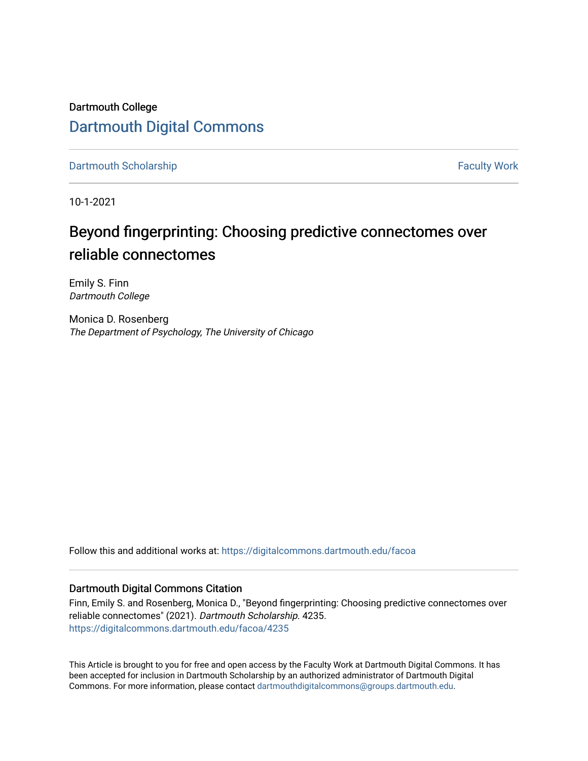Dartmouth College [Dartmouth Digital Commons](https://digitalcommons.dartmouth.edu/) 

[Dartmouth Scholarship](https://digitalcommons.dartmouth.edu/facoa) Faculty Work

10-1-2021

# Beyond fingerprinting: Choosing predictive connectomes over reliable connectomes

Emily S. Finn Dartmouth College

Monica D. Rosenberg The Department of Psychology, The University of Chicago

Follow this and additional works at: [https://digitalcommons.dartmouth.edu/facoa](https://digitalcommons.dartmouth.edu/facoa?utm_source=digitalcommons.dartmouth.edu%2Ffacoa%2F4235&utm_medium=PDF&utm_campaign=PDFCoverPages)

### Dartmouth Digital Commons Citation

Finn, Emily S. and Rosenberg, Monica D., "Beyond fingerprinting: Choosing predictive connectomes over reliable connectomes" (2021). Dartmouth Scholarship. 4235. [https://digitalcommons.dartmouth.edu/facoa/4235](https://digitalcommons.dartmouth.edu/facoa/4235?utm_source=digitalcommons.dartmouth.edu%2Ffacoa%2F4235&utm_medium=PDF&utm_campaign=PDFCoverPages) 

This Article is brought to you for free and open access by the Faculty Work at Dartmouth Digital Commons. It has been accepted for inclusion in Dartmouth Scholarship by an authorized administrator of Dartmouth Digital Commons. For more information, please contact [dartmouthdigitalcommons@groups.dartmouth.edu](mailto:dartmouthdigitalcommons@groups.dartmouth.edu).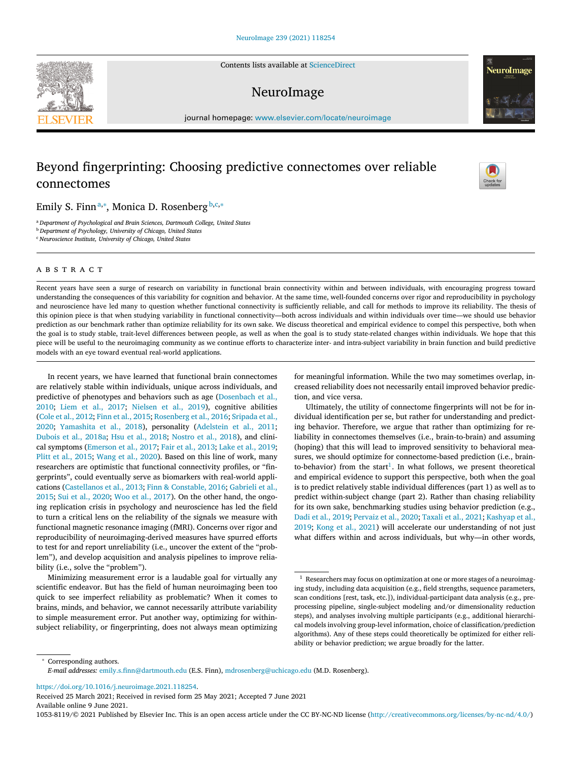Contents lists available at [ScienceDirect](http://www.ScienceDirect.com)

## NeuroImage

journal homepage: [www.elsevier.com/locate/neuroimage](http://www.elsevier.com/locate/neuroimage)

## Beyond fingerprinting: Choosing predictive connectomes over reliable connectomes

Emily S. Finn<sup>a,∗</sup>, Monica D. Rosenberg <sup>b,c,∗</sup>

<sup>a</sup> *Department of Psychological and Brain Sciences, Dartmouth College, United States* <sup>b</sup> *Department of Psychology, University of Chicago, United States*

<sup>c</sup> *Neuroscience Institute, University of Chicago, United States*

a b s t r a c t

Recent years have seen a surge of research on variability in functional brain connectivity within and between individuals, with encouraging progress toward understanding the consequences of this variability for cognition and behavior. At the same time, well-founded concerns over rigor and reproducibility in psychology and neuroscience have led many to question whether functional connectivity is sufficiently reliable, and call for methods to improve its reliability. The thesis of this opinion piece is that when studying variability in functional connectivity—both across individuals and within individuals over time—we should use behavior prediction as our benchmark rather than optimize reliability for its own sake. We discuss theoretical and empirical evidence to compel this perspective, both when the goal is to study stable, trait-level differences between people, as well as when the goal is to study state-related changes within individuals. We hope that this piece will be useful to the neuroimaging community as we continue efforts to characterize inter- and intra-subject variability in brain function and build predictive models with an eye toward eventual real-world applications.

In recent years, we have learned that functional brain connectomes are relatively stable within individuals, unique across individuals, and predictive of phenotypes and behaviors such as age [\(Dosenbach](#page-6-0) et al., 2010; Liem et al., [2017;](#page-7-0) [Nielsen](#page-7-0) et al., 2019), cognitive abilities (Cole et al., [2012;](#page-6-0) Finn et al., [2015;](#page-7-0) [Rosenberg](#page-8-0) et al., 2016; Sripada et al., 2020; [Yamashita](#page-8-0) et al., 2018), [personality](#page-8-0) [\(Adelstein](#page-6-0) et al., 2011; [Dubois](#page-6-0) et al., 2018a; Hsu et al., [2018;](#page-7-0) [Nostro](#page-7-0) et al., 2018), and clinical symptoms [\(Emerson](#page-6-0) et al., 2017; Fair et al., [2013;](#page-6-0) Lake et al., [2019;](#page-7-0) Plitt et al., [2015;](#page-7-0) [Wang](#page-8-0) et al., 2020). Based on this line of work, many researchers are optimistic that functional connectivity profiles, or "fingerprints", could eventually serve as biomarkers with real-world applications [\(](#page-7-0)[Castellanos](#page-6-0) et al., 2013; Finn & [Constable,](#page-6-0) 2016; Gabrieli et al., 2015; Sui et al., [2020;](#page-8-0) Woo et al., [2017\)](#page-8-0). On the other hand, the ongoing replication crisis in psychology and neuroscience has led the field to turn a critical lens on the reliability of the signals we measure with functional magnetic resonance imaging (fMRI). Concerns over rigor and reproducibility of neuroimaging-derived measures have spurred efforts to test for and report unreliability (i.e., uncover the extent of the "problem"), and develop acquisition and analysis pipelines to improve reliability (i.e., solve the "problem").

Minimizing measurement error is a laudable goal for virtually any scientific endeavor. But has the field of human neuroimaging been too quick to see imperfect reliability as problematic? When it comes to brains, minds, and behavior, we cannot necessarily attribute variability to simple measurement error. Put another way, optimizing for withinsubject reliability, or fingerprinting, does not always mean optimizing

for meaningful information. While the two may sometimes overlap, increased reliability does not necessarily entail improved behavior prediction, and vice versa.

Ultimately, the utility of connectome fingerprints will not be for individual identification per se, but rather for understanding and predicting behavior. Therefore, we argue that rather than optimizing for reliability in connectomes themselves (i.e., brain-to-brain) and assuming (hoping) that this will lead to improved sensitivity to behavioral measures, we should optimize for connectome-based prediction (i.e., brainto-behavior) from the start<sup>1</sup>. In what follows, we present theoretical and empirical evidence to support this perspective, both when the goal is to predict relatively stable individual differences (part 1) as well as to predict within-subject change (part 2). Rather than chasing reliability for its own sake, benchmarking studies using behavior prediction (e.g., Dadi et al., [2019;](#page-6-0) [Pervaiz](#page-7-0) et al., 2020; [Taxali](#page-8-0) et al., 2021; Kashyap et al., 2019; Kong et al., [2021\)](#page-7-0) will accelerate our [understanding](#page-7-0) of not just what differs within and across individuals, but why—in other words,

<sup>∗</sup> Corresponding authors.

[https://doi.org/10.1016/j.neuroimage.2021.118254.](https://doi.org/10.1016/j.neuroimage.2021.118254)

Received 25 March 2021; Received in revised form 25 May 2021; Accepted 7 June 2021 Available online 9 June 2021.

1053-8119/© 2021 Published by Elsevier Inc. This is an open access article under the CC BY-NC-ND license [\(http://creativecommons.org/licenses/by-nc-nd/4.0/\)](http://creativecommons.org/licenses/by-nc-nd/4.0/)







 $^{\rm 1}$  Researchers may focus on optimization at one or more stages of a neuroimaging study, including data acquisition (e.g., field strengths, sequence parameters, scan conditions [rest, task, etc.]), individual-participant data analysis (e.g., preprocessing pipeline, single-subject modeling and/or dimensionality reduction steps), and analyses involving multiple participants (e.g., additional hierarchical models involving group-level information, choice of classification/prediction algorithms). Any of these steps could theoretically be optimized for either reliability or behavior prediction; we argue broadly for the latter.

*E-mail addresses:* [emily.s.finn@dartmouth.edu](mailto:emily.s.finn@dartmouth.edu) (E.S. Finn), [mdrosenberg@uchicago.edu](mailto:mdrosenberg@uchicago.edu) (M.D. Rosenberg).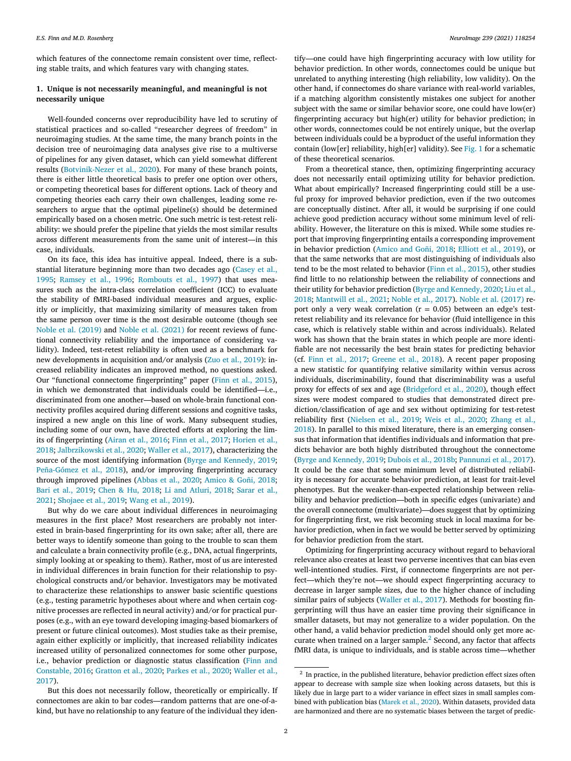which features of the connectome remain consistent over time, reflecting stable traits, and which features vary with changing states.

#### **1. Unique is not necessarily meaningful, and meaningful is not necessarily unique**

Well-founded concerns over reproducibility have led to scrutiny of statistical practices and so-called "researcher degrees of freedom" in neuroimaging studies. At the same time, the many branch points in the decision tree of neuroimaging data analyses give rise to a multiverse of pipelines for any given dataset, which can yield somewhat different results [\(Botvinik-Nezer](#page-6-0) et al., 2020). For many of these branch points, there is either little theoretical basis to prefer one option over others, or competing theoretical bases for different options. Lack of theory and competing theories each carry their own challenges, leading some researchers to argue that the optimal pipeline(s) should be determined empirically based on a chosen metric. One such metric is test-retest reliability: we should prefer the pipeline that yields the most similar results across different measurements from the same unit of interest—in this case, individuals.

On its face, this idea has intuitive appeal. Indeed, there is a substantial literature beginning more than two decades ago (Casey et al., 1995; [Ramsey](#page-8-0) et al., 1996; [Rombouts](#page-6-0) et al., 1997) that uses measures such as the intra-class correlation coefficient (ICC) to evaluate the stability of fMRI-based individual measures and argues, explicitly or implicitly, that maximizing similarity of measures taken from the same person over time is the most desirable outcome (though see Noble et al. [\(2019\)](#page-7-0) and Noble et al. [\(2021\)](#page-7-0) for recent reviews of functional connectivity reliability and the importance of considering validity). Indeed, test-retest reliability is often used as a benchmark for new developments in acquisition and/or analysis (Zuo et al., [2019\)](#page-8-0): increased reliability indicates an improved method, no questions asked. Our "functional connectome fingerprinting" paper (Finn et al., [2015\)](#page-7-0), in which we demonstrated that individuals could be identified—i.e., discriminated from one another—based on whole-brain functional connectivity profiles acquired during different sessions and cognitive tasks, inspired a new angle on this line of work. Many subsequent studies, including some of our own, have directed efforts at exploring the limits of fingerprinting [\(Airan](#page-6-0) et al., 2016; Finn et al., [2017;](#page-7-0) Horien et al., 2018; [Jalbrzikowski](#page-7-0) et al., 2020; [Waller](#page-8-0) et al., 2017), [characterizing](#page-7-0) the source of the most identifying information (Byrge and [Kennedy,](#page-6-0) 2019; [Peña-Gómez](#page-7-0) et al., 2018), and/or improving fingerprinting accuracy through improved pipelines [\(Abbas](#page-6-0) et al., 2020; [Amico](#page-6-0) & Goñi, 2018; Bari et al., [2019;](#page-6-0) Chen & Hu, [2018;](#page-6-0) Li and [Atluri,](#page-7-0) 2018; Sarar et al., 2021; [Shojaee](#page-8-0) et al., 2019; [Wang](#page-8-0) et al., 2019).

But why do we care about individual differences in neuroimaging measures in the first place? Most researchers are probably not interested in brain-based fingerprinting for its own sake; after all, there are better ways to identify someone than going to the trouble to scan them and calculate a brain connectivity profile (e.g., DNA, actual fingerprints, simply looking at or speaking to them). Rather, most of us are interested in individual differences in brain function for their relationship to psychological constructs and/or behavior. Investigators may be motivated to characterize these relationships to answer basic scientific questions (e.g., testing parametric hypotheses about where and when certain cognitive processes are reflected in neural activity) and/or for practical purposes (e.g., with an eye toward developing imaging-based biomarkers of present or future clinical outcomes). Most studies take as their premise, again either explicitly or implicitly, that increased reliability indicates increased utility of personalized connectomes for some other purpose, i.e., behavior prediction or diagnostic status [classification](#page-6-0) (Finn and [Constable,](#page-8-0) 2016; [Gratton](#page-7-0) et al., 2020; [Parkes](#page-7-0) et al., 2020; Waller et al., 2017).

But this does not necessarily follow, theoretically or empirically. If connectomes are akin to bar codes—random patterns that are one-of-akind, but have no relationship to any feature of the individual they identify—one could have high fingerprinting accuracy with low utility for behavior prediction. In other words, connectomes could be unique but unrelated to anything interesting (high reliability, low validity). On the other hand, if connectomes do share variance with real-world variables, if a matching algorithm consistently mistakes one subject for another subject with the same or similar behavior score, one could have low(er) fingerprinting accuracy but high(er) utility for behavior prediction; in other words, connectomes could be not entirely unique, but the overlap between individuals could be a byproduct of the useful information they contain (low[er] reliability, high[er] validity). See [Fig.](#page-3-0) 1 for a schematic of these theoretical scenarios.

From a theoretical stance, then, optimizing fingerprinting accuracy does not necessarily entail optimizing utility for behavior prediction. What about empirically? Increased fingerprinting could still be a useful proxy for improved behavior prediction, even if the two outcomes are conceptually distinct. After all, it would be surprising if one could achieve good prediction accuracy without some minimum level of reliability. However, the literature on this is mixed. While some studies report that improving fingerprinting entails a corresponding improvement in behavior prediction [\(Amico](#page-6-0) and Goñi, 2018; [Elliott](#page-6-0) et al., 2019), or that the same networks that are most distinguishing of individuals also tend to be the most related to behavior (Finn et al., [2015\)](#page-7-0), other studies find little to no relationship between the reliability of connections and their utility for behavior [prediction](#page-7-0) (Byrge and [Kennedy,](#page-6-0) 2020; Liu et al., 2018; [Mantwill](#page-7-0) et al., 2021; [Noble](#page-7-0) et al., 2017). Noble et al. [\(2017\)](#page-7-0) report only a very weak correlation ( $r = 0.05$ ) between an edge's testretest reliability and its relevance for behavior (fluid intelligence in this case, which is relatively stable within and across individuals). Related work has shown that the brain states in which people are more identifiable are not necessarily the best brain states for predicting behavior (cf. Finn et al., [2017;](#page-7-0) [Greene](#page-7-0) et al., 2018). A recent paper proposing a new statistic for quantifying relative similarity within versus across individuals, discriminability, found that discriminability was a useful proxy for effects of sex and age [\(Bridgeford](#page-6-0) et al., 2020), though effect sizes were modest compared to studies that demonstrated direct prediction/classification of age and sex without optimizing for test-retest reliability first [\(Nielsen](#page-7-0) et al., 2019; Weis et al., [2020;](#page-8-0) Zhang et al., 2018). In parallel to this mixed [literature,](#page-8-0) there is an emerging consensus that information that identifies individuals and information that predicts behavior are both highly distributed throughout the connectome (Byrge and [Kennedy,](#page-6-0) 2019; [Dubois](#page-6-0) et al., 2018b; [Pannunzi](#page-7-0) et al., 2017). It could be the case that some minimum level of distributed reliability is necessary for accurate behavior prediction, at least for trait-level phenotypes. But the weaker-than-expected relationship between reliability and behavior prediction—both in specific edges (univariate) and the overall connectome (multivariate)—does suggest that by optimizing for fingerprinting first, we risk becoming stuck in local maxima for behavior prediction, when in fact we would be better served by optimizing for behavior prediction from the start.

Optimizing for fingerprinting accuracy without regard to behavioral relevance also creates at least two perverse incentives that can bias even well-intentioned studies. First, if connectome fingerprints are not perfect—which they're not—we should expect fingerprinting accuracy to decrease in larger sample sizes, due to the higher chance of including similar pairs of subjects [\(Waller](#page-8-0) et al., 2017). Methods for boosting fingerprinting will thus have an easier time proving their significance in smaller datasets, but may not generalize to a wider population. On the other hand, a valid behavior prediction model should only get more accurate when trained on a larger sample.<sup>2</sup> Second, any factor that affects fMRI data, is unique to individuals, and is stable across time—whether

 $^{\rm 2}$  In practice, in the published literature, behavior prediction effect sizes often appear to decrease with sample size when looking across datasets, but this is likely due in large part to a wider variance in effect sizes in small samples combined with publication bias [\(Marek](#page-7-0) et al., 2020). Within datasets, provided data are harmonized and there are no systematic biases between the target of predic-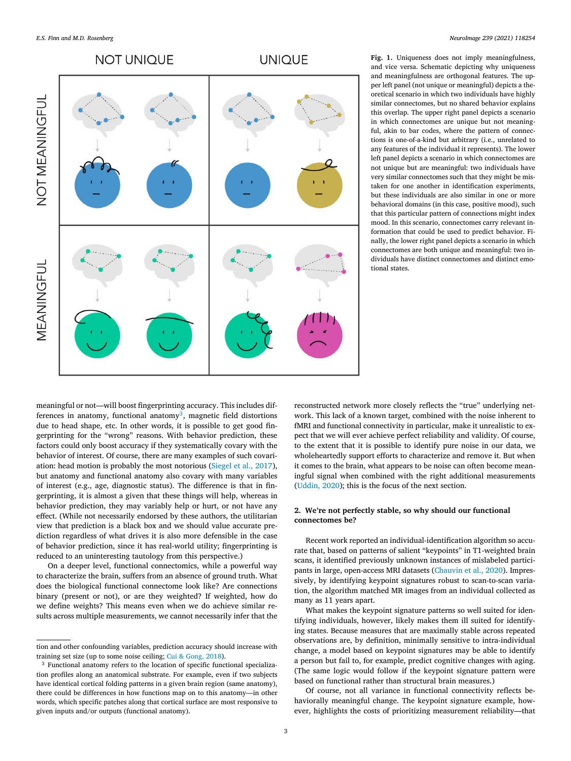<span id="page-3-0"></span>

**Fig. 1.** Uniqueness does not imply meaningfulness, and vice versa. Schematic depicting why uniqueness and meaningfulness are orthogonal features. The upper left panel (not unique or meaningful) depicts a theoretical scenario in which two individuals have highly similar connectomes, but no shared behavior explains this overlap. The upper right panel depicts a scenario in which connectomes are unique but not meaningful, akin to bar codes, where the pattern of connections is one-of-a-kind but arbitrary (i.e., unrelated to any features of the individual it represents). The lower left panel depicts a scenario in which connectomes are not unique but are meaningful: two individuals have very similar connectomes such that they might be mistaken for one another in identification experiments, but these individuals are also similar in one or more behavioral domains (in this case, positive mood), such that this particular pattern of connections might index mood. In this scenario, connectomes carry relevant information that could be used to predict behavior. Finally, the lower right panel depicts a scenario in which connectomes are both unique and meaningful: two individuals have distinct connectomes and distinct emotional states.

meaningful or not—will boost fingerprinting accuracy. This includes differences in anatomy, functional anatomy<sup>3</sup>, magnetic field distortions due to head shape, etc. In other words, it is possible to get good fingerprinting for the "wrong" reasons. With behavior prediction, these factors could only boost accuracy if they systematically covary with the behavior of interest. Of course, there are many examples of such covariation: head motion is probably the most notorious [\(Siegel](#page-8-0) et al., 2017), but anatomy and functional anatomy also covary with many variables of interest (e.g., age, diagnostic status). The difference is that in fingerprinting, it is almost a given that these things will help, whereas in behavior prediction, they may variably help or hurt, or not have any effect. (While not necessarily endorsed by these authors, the utilitarian view that prediction is a black box and we should value accurate prediction regardless of what drives it is also more defensible in the case of behavior prediction, since it has real-world utility; fingerprinting is reduced to an uninteresting tautology from this perspective.)

On a deeper level, functional connectomics, while a powerful way to characterize the brain, suffers from an absence of ground truth. What does the biological functional connectome look like? Are connections binary (present or not), or are they weighted? If weighted, how do we define weights? This means even when we do achieve similar results across multiple measurements, we cannot necessarily infer that the reconstructed network more closely reflects the "true" underlying network. This lack of a known target, combined with the noise inherent to fMRI and functional connectivity in particular, make it unrealistic to expect that we will ever achieve perfect reliability and validity. Of course, to the extent that it is possible to identify pure noise in our data, we wholeheartedly support efforts to characterize and remove it. But when it comes to the brain, what appears to be noise can often become meaningful signal when combined with the right additional measurements [\(Uddin,](#page-8-0) 2020); this is the focus of the next section.

#### **2. We're not perfectly stable, so why should our functional connectomes be?**

Recent work reported an individual-identification algorithm so accurate that, based on patterns of salient "keypoints" in T1-weighted brain scans, it identified previously unknown instances of mislabeled participants in large, open-access MRI datasets [\(Chauvin](#page-6-0) et al., 2020). Impressively, by identifying keypoint signatures robust to scan-to-scan variation, the algorithm matched MR images from an individual collected as many as 11 years apart.

What makes the keypoint signature patterns so well suited for identifying individuals, however, likely makes them ill suited for identifying states. Because measures that are maximally stable across repeated observations are, by definition, minimally sensitive to intra-individual change, a model based on keypoint signatures may be able to identify a person but fail to, for example, predict cognitive changes with aging. (The same logic would follow if the keypoint signature pattern were based on functional rather than structural brain measures.)

Of course, not all variance in functional connectivity reflects behaviorally meaningful change. The keypoint signature example, however, highlights the costs of prioritizing measurement reliability—that

tion and other confounding variables, prediction accuracy should increase with training set size (up to some noise ceiling; Cui & [Gong,](#page-6-0) 2018).

<sup>&</sup>lt;sup>3</sup> Functional anatomy refers to the location of specific functional specialization profiles along an anatomical substrate. For example, even if two subjects have identical cortical folding patterns in a given brain region (same anatomy), there could be differences in how functions map on to this anatomy—in other words, which specific patches along that cortical surface are most responsive to given inputs and/or outputs (functional anatomy).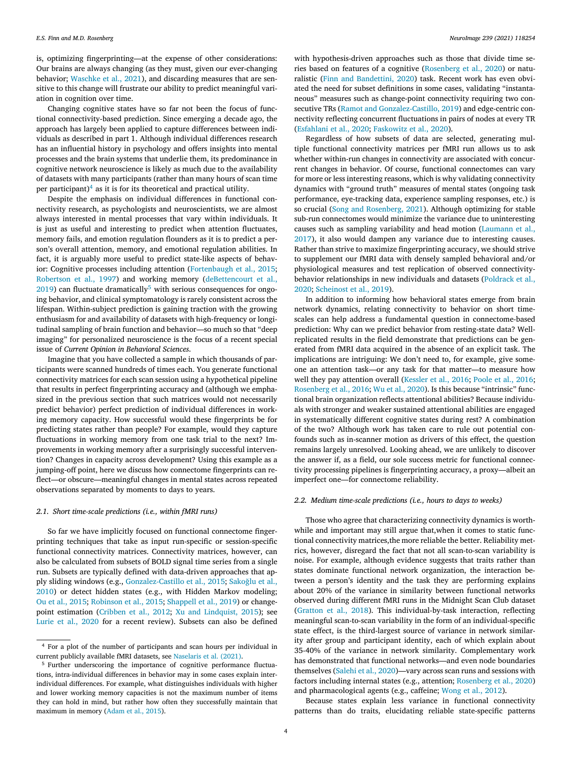is, optimizing fingerprinting—at the expense of other considerations: Our brains are always changing (as they must, given our ever-changing behavior; [Waschke](#page-8-0) et al., 2021), and discarding measures that are sensitive to this change will frustrate our ability to predict meaningful variation in cognition over time.

Changing cognitive states have so far not been the focus of functional connectivity-based prediction. Since emerging a decade ago, the approach has largely been applied to capture differences between individuals as described in part 1. Although individual differences research has an influential history in psychology and offers insights into mental processes and the brain systems that underlie them, its predominance in cognitive network neuroscience is likely as much due to the availability of datasets with many participants (rather than many hours of scan time per participant) $4$  as it is for its theoretical and practical utility.

Despite the emphasis on individual differences in functional connectivity research, as psychologists and neuroscientists, we are almost always interested in mental processes that vary within individuals. It is just as useful and interesting to predict when attention fluctuates, memory fails, and emotion regulation flounders as it is to predict a person's overall attention, memory, and emotional regulation abilities. In fact, it is arguably more useful to predict state-like aspects of behavior: Cognitive processes including attention [\(Fortenbaugh](#page-7-0) et al., 2015; [Robertson](#page-8-0) et al., 1997) and working memory [\(deBettencourt](#page-6-0) et al.,  $2019$ ) can fluctuate dramatically<sup>5</sup> with serious consequences for ongoing behavior, and clinical symptomatology is rarely consistent across the lifespan. Within-subject prediction is gaining traction with the growing enthusiasm for and availability of datasets with high-frequency or longitudinal sampling of brain function and behavior—so much so that "deep imaging" for personalized neuroscience is the focus of a recent special issue of *Current Opinion in Behavioral Sciences*.

Imagine that you have collected a sample in which thousands of participants were scanned hundreds of times each. You generate functional connectivity matrices for each scan session using a hypothetical pipeline that results in perfect fingerprinting accuracy and (although we emphasized in the previous section that such matrices would not necessarily predict behavior) perfect prediction of individual differences in working memory capacity. How successful would these fingerprints be for predicting states rather than people? For example, would they capture fluctuations in working memory from one task trial to the next? Improvements in working memory after a surprisingly successful intervention? Changes in capacity across development? Using this example as a jumping-off point, here we discuss how connectome fingerprints can reflect—or obscure—meaningful changes in mental states across repeated observations separated by moments to days to years.

#### *2.1. Short time-scale predictions (i.e., within fMRI runs)*

So far we have implicitly focused on functional connectome fingerprinting techniques that take as input run-specific or session-specific functional connectivity matrices. Connectivity matrices, however, can also be calculated from subsets of BOLD signal time series from a single run. Subsets are typically defined with data-driven approaches that apply sliding windows (e.g., [Gonzalez-Castillo](#page-7-0) et al., 2015; Sakoğlu et al., 2010) or detect hidden states (e.g., with Hidden Markov modeling; Ou et al., [2015;](#page-7-0) [Robinson](#page-8-0) et al., 2015; [Shappell](#page-8-0) et al., 2019) or changepoint estimation [\(Cribben](#page-6-0) et al., 2012; Xu and [Lindquist,](#page-8-0) 2015); see [Lurie](#page-7-0) et al., 2020 for a recent review). Subsets can also be defined

with hypothesis-driven approaches such as those that divide time series based on features of a cognitive [\(Rosenberg](#page-8-0) et al., 2020) or naturalistic (Finn and [Bandettini,](#page-6-0) 2020) task. Recent work has even obviated the need for subset definitions in some cases, validating "instantaneous" measures such as change-point connectivity requiring two consecutive TRs (Ramot and [Gonzalez-Castillo,](#page-8-0) 2019) and edge-centric connectivity reflecting concurrent fluctuations in pairs of nodes at every TR [\(Esfahlani](#page-6-0) et al., 2020; [Faskowitz](#page-6-0) et al., 2020).

Regardless of how subsets of data are selected, generating multiple functional connectivity matrices per fMRI run allows us to ask whether within-run changes in connectivity are associated with concurrent changes in behavior. Of course, functional connectomes can vary for more or less interesting reasons, which is why validating connectivity dynamics with "ground truth" measures of mental states (ongoing task performance, eye-tracking data, experience sampling responses, etc.) is so crucial (Song and [Rosenberg,](#page-8-0) 2021). Although optimizing for stable sub-run connectomes would minimize the variance due to uninteresting causes such as sampling variability and head motion (Laumann et al., 2017), it also would dampen any variance due to [interesting](#page-7-0) causes. Rather than strive to maximize fingerprinting accuracy, we should strive to supplement our fMRI data with densely sampled behavioral and/or physiological measures and test replication of observed connectivitybehavior [relationships](#page-7-0) in new individuals and datasets (Poldrack et al., 2020; [Scheinost](#page-8-0) et al., 2019).

In addition to informing how behavioral states emerge from brain network dynamics, relating connectivity to behavior on short timescales can help address a fundamental question in connectome-based prediction: Why can we predict behavior from resting-state data? Wellreplicated results in the field demonstrate that predictions can be generated from fMRI data acquired in the absence of an explicit task. The implications are intriguing: We don't need to, for example, give someone an attention task—or any task for that matter—to measure how well they pay attention overall [\(Kessler](#page-7-0) et al., 2016; [Poole](#page-8-0) et al., 2016; [Rosenberg](#page-8-0) et al., 2016; Wu et al., [2020\)](#page-8-0). Is this because "intrinsic" functional brain organization reflects attentional abilities? Because individuals with stronger and weaker sustained attentional abilities are engaged in systematically different cognitive states during rest? A combination of the two? Although work has taken care to rule out potential confounds such as in-scanner motion as drivers of this effect, the question remains largely unresolved. Looking ahead, we are unlikely to discover the answer if, as a field, our sole success metric for functional connectivity processing pipelines is fingerprinting accuracy, a proxy—albeit an imperfect one—for connectome reliability.

#### *2.2. Medium time-scale predictions (i.e., hours to days to weeks)*

Those who agree that characterizing connectivity dynamics is worthwhile and important may still argue that,when it comes to static functional connectivity matrices,the more reliable the better. Reliability metrics, however, disregard the fact that not all scan-to-scan variability is noise. For example, although evidence suggests that traits rather than states dominate functional network organization, the interaction between a person's identity and the task they are performing explains about 20% of the variance in similarity between functional networks observed during different fMRI runs in the Midnight Scan Club dataset [\(Gratton](#page-7-0) et al., 2018). This individual-by-task interaction, reflecting meaningful scan-to-scan variability in the form of an individual-specific state effect, is the third-largest source of variance in network similarity after group and participant identity, each of which explain about 35-40% of the variance in network similarity. Complementary work has demonstrated that functional networks—and even node boundaries themselves [\(Salehi](#page-8-0) et al., 2020)—vary across scan runs and sessions with factors including internal states (e.g., attention; [Rosenberg](#page-8-0) et al., 2020) and pharmacological agents (e.g., caffeine; [Wong](#page-8-0) et al., 2012).

Because states explain less variance in functional connectivity patterns than do traits, elucidating reliable state-specific patterns

<sup>4</sup> For a plot of the number of participants and scan hours per individual in current publicly available fMRI datasets, see [Naselaris](#page-7-0) et al. (2021).

<sup>&</sup>lt;sup>5</sup> Further underscoring the importance of cognitive performance fluctuations, intra-individual differences in behavior may in some cases explain interindividual differences. For example, what distinguishes individuals with higher and lower working memory capacities is not the maximum number of items they can hold in mind, but rather how often they successfully maintain that maximum in memory [\(Adam](#page-6-0) et al., 2015).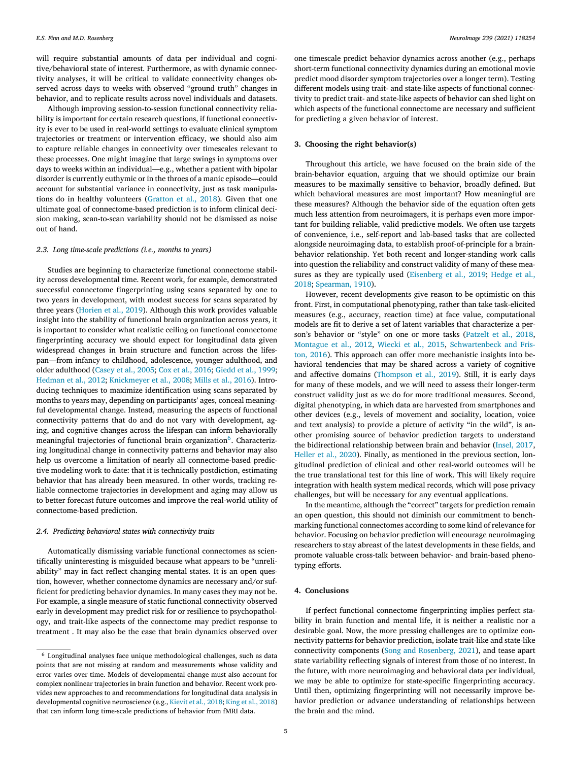will require substantial amounts of data per individual and cognitive/behavioral state of interest. Furthermore, as with dynamic connectivity analyses, it will be critical to validate connectivity changes observed across days to weeks with observed "ground truth" changes in behavior, and to replicate results across novel individuals and datasets.

Although improving session-to-session functional connectivity reliability is important for certain research questions, if functional connectivity is ever to be used in real-world settings to evaluate clinical symptom trajectories or treatment or intervention efficacy, we should also aim to capture reliable changes in connectivity over timescales relevant to these processes. One might imagine that large swings in symptoms over days to weeks within an individual—e.g., whether a patient with bipolar disorder is currently euthymic or in the throes of a manic episode—could account for substantial variance in connectivity, just as task manipulations do in healthy volunteers [\(Gratton](#page-7-0) et al., 2018). Given that one ultimate goal of connectome-based prediction is to inform clinical decision making, scan-to-scan variability should not be dismissed as noise out of hand.

#### *2.3. Long time-scale predictions (i.e., months to years)*

Studies are beginning to characterize functional connectome stability across developmental time. Recent work, for example, demonstrated successful connectome fingerprinting using scans separated by one to two years in development, with modest success for scans separated by three years [\(Horien](#page-7-0) et al., 2019). Although this work provides valuable insight into the stability of functional brain organization across years, it is important to consider what realistic ceiling on functional connectome fingerprinting accuracy we should expect for longitudinal data given widespread changes in brain structure and function across the lifespan—from infancy to childhood, adolescence, younger adulthood, and older adulthood [\(Casey](#page-6-0) et al., 2005; Cox et al., [2016;](#page-6-0) [Giedd](#page-7-0) et al., 1999; [Hedman](#page-7-0) et al., 2012; [Knickmeyer](#page-7-0) et al., 2008; Mills et al., [2016\)](#page-7-0). Introducing techniques to maximize identification using scans separated by months to years may, depending on participants' ages, conceal meaningful developmental change. Instead, measuring the aspects of functional connectivity patterns that do and do not vary with development, aging, and cognitive changes across the lifespan can inform behaviorally meaningful trajectories of functional brain organization $6$ . Characterizing longitudinal change in connectivity patterns and behavior may also help us overcome a limitation of nearly all connectome-based predictive modeling work to date: that it is technically postdiction, estimating behavior that has already been measured. In other words, tracking reliable connectome trajectories in development and aging may allow us to better forecast future outcomes and improve the real-world utility of connectome-based prediction.

#### *2.4. Predicting behavioral states with connectivity traits*

Automatically dismissing variable functional connectomes as scientifically uninteresting is misguided because what appears to be "unreliability" may in fact reflect changing mental states. It is an open question, however, whether connectome dynamics are necessary and/or sufficient for predicting behavior dynamics. In many cases they may not be. For example, a single measure of static functional connectivity observed early in development may predict risk for or resilience to psychopathology, and trait-like aspects of the connectome may predict response to treatment . It may also be the case that brain dynamics observed over one timescale predict behavior dynamics across another (e.g., perhaps short-term functional connectivity dynamics during an emotional movie predict mood disorder symptom trajectories over a longer term). Testing different models using trait- and state-like aspects of functional connectivity to predict trait- and state-like aspects of behavior can shed light on which aspects of the functional connectome are necessary and sufficient for predicting a given behavior of interest.

#### **3. Choosing the right behavior(s)**

Throughout this article, we have focused on the brain side of the brain-behavior equation, arguing that we should optimize our brain measures to be maximally sensitive to behavior, broadly defined. But which behavioral measures are most important? How meaningful are these measures? Although the behavior side of the equation often gets much less attention from neuroimagers, it is perhaps even more important for building reliable, valid predictive models. We often use targets of convenience, i.e., self-report and lab-based tasks that are collected alongside neuroimaging data, to establish proof-of-principle for a brainbehavior relationship. Yet both recent and longer-standing work calls into question the reliability and construct validity of many of these measures as they are typically used [\(](#page-7-0)[Eisenberg](#page-6-0) et al., 2019; Hedge et al., 2018; [Spearman,](#page-8-0) 1910).

However, recent developments give reason to be optimistic on this front. First, in computational phenotyping, rather than take task-elicited measures (e.g., accuracy, reaction time) at face value, computational models are fit to derive a set of latent variables that characterize a per-son's behavior or "style" on one or more tasks [\(Patzelt](#page-7-0) et al., 2018, [Montague](#page-7-0) et al., 2012, [Wiecki](#page-8-0) et al., 2015, [Schwartenbeck](#page-8-0) and Friston, 2016). This approach can offer more mechanistic insights into behavioral tendencies that may be shared across a variety of cognitive and affective domains [\(Thompson](#page-8-0) et al., 2019). Still, it is early days for many of these models, and we will need to assess their longer-term construct validity just as we do for more traditional measures. Second, digital phenotyping, in which data are harvested from smartphones and other devices (e.g., levels of movement and sociality, location, voice and text analysis) to provide a picture of activity "in the wild", is another promising source of behavior prediction targets to understand the bidirectional relationship between brain and behavior [\(Insel,](#page-7-0) 2017, [Heller](#page-7-0) et al., 2020). Finally, as mentioned in the previous section, longitudinal prediction of clinical and other real-world outcomes will be the true translational test for this line of work. This will likely require integration with health system medical records, which will pose privacy challenges, but will be necessary for any eventual applications.

In the meantime, although the "correct" targets for prediction remain an open question, this should not diminish our commitment to benchmarking functional connectomes according to some kind of relevance for behavior. Focusing on behavior prediction will encourage neuroimaging researchers to stay abreast of the latest developments in these fields, and promote valuable cross-talk between behavior- and brain-based phenotyping efforts.

#### **4. Conclusions**

If perfect functional connectome fingerprinting implies perfect stability in brain function and mental life, it is neither a realistic nor a desirable goal. Now, the more pressing challenges are to optimize connectivity patterns for behavior prediction, isolate trait-like and state-like connectivity components (Song and [Rosenberg,](#page-8-0) 2021), and tease apart state variability reflecting signals of interest from those of no interest. In the future, with more neuroimaging and behavioral data per individual, we may be able to optimize for state-specific fingerprinting accuracy. Until then, optimizing fingerprinting will not necessarily improve behavior prediction or advance understanding of relationships between the brain and the mind.

<sup>6</sup> Longitudinal analyses face unique methodological challenges, such as data points that are not missing at random and measurements whose validity and error varies over time. Models of developmental change must also account for complex nonlinear trajectories in brain function and behavior. Recent work provides new approaches to and recommendations for longitudinal data analysis in developmental cognitive neuroscience (e.g., [Kievit](#page-7-0) et al., 2018; King et al., [2018\)](#page-7-0) that can inform long time-scale predictions of behavior from fMRI data.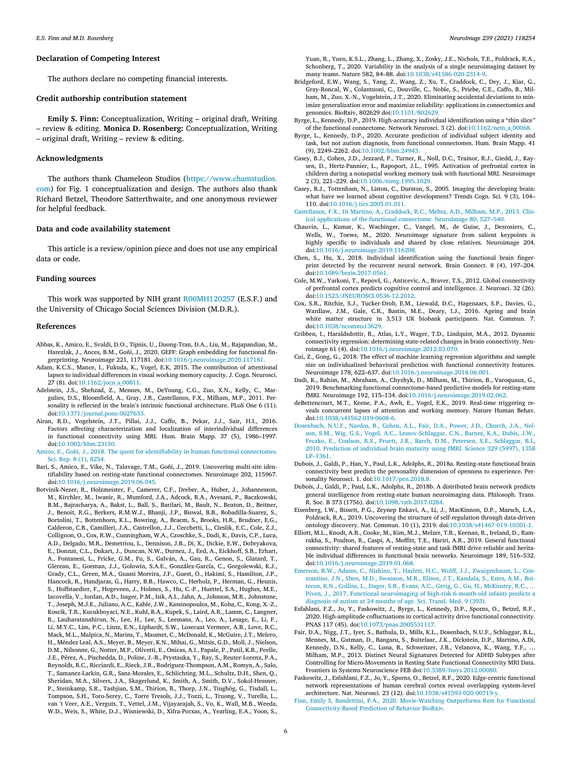#### <span id="page-6-0"></span>**Declaration of Competing Interest**

The authors declare no competing financial interests.

#### **Credit authorship contribution statement**

**Emily S. Finn:** Conceptualization, Writing – original draft, Writing – review & editing. **Monica D. Rosenberg:** Conceptualization, Writing – original draft, Writing – review & editing.

#### **Acknowledgments**

The authors thank Chameleon Studios [\(https://www.chamstudios.](https://www.chamstudios.com) com) for Fig. 1 conceptualization and design. The authors also thank Richard Betzel, Theodore Satterthwaite, and one anonymous reviewer for helpful feedback.

#### **Data and code availability statement**

This article is a review/opinion piece and does not use any empirical data or code.

#### **Funding sources**

This work was supported by NIH grant R00MH120257 (E.S.F.) and the University of Chicago Social Sciences Division (M.D.R.).

#### **References**

- Abbas, K., Amico, E., Svaldi, D.O., Tipnis, U., Duong-Tran, D.A., Liu, M., Rajapandian, M., Harezlak, J., Ances, B.M., Goñi, J., 2020. GEFF: Graph embedding for functional fingerprinting. Neuroimage 221, 117181. doi[:10.1016/j.neuroimage.2020.117181.](https://doi.org/10.1016/j.neuroimage.2020.117181)
- Adam, K.C.S., Mance, I., Fukuda, K., Vogel, E.K, 2015. The contribution of attentional lapses to individual differences in visual working memory capacity. J. Cogn. Neurosci. 27 (8). doi[:10.1162/jocn\\_a\\_00811.](https://doi.org/10.1162/jocn_a_00811)
- Adelstein, J.S., Shehzad, Z., Mennes, M., DeYoung, C.G., Zuo, X.N., Kelly, C., Margulies, D.S., Bloomfield, A., Gray, J.R., Castellanos, F.X., Milham, M.P., 2011. Personality is reflected in the brain's intrinsic functional architecture. PLoS One 6 (11). doi[:10.1371/journal.pone.0027633.](https://doi.org/10.1371/journal.pone.0027633)
- Airan, R.D., Vogelstein, J.T., Pillai, J.J., Caffo, B., Pekar, J.J., Sair, H.I., 2016. Factors affecting characterization and localization of interindividual differences in functional connectivity using MRI. Hum. Brain Mapp. 37 (5), 1986–1997. doi[:10.1002/hbm.23150.](https://doi.org/10.1002/hbm.23150)
- [Amico,](http://refhub.elsevier.com/S1053-8119(21)00531-0/sbref0005) E., [Goñi,](http://refhub.elsevier.com/S1053-8119(21)00531-0/sbref0005) J., 2018. The quest for [identifiability](http://refhub.elsevier.com/S1053-8119(21)00531-0/sbref0005) in human functional connectomes. Sci. Rep. 8 (1), 8254.
- Bari, S., Amico, E., Vike, N., Talavage, T.M., Goñi, J., 2019. Uncovering multi-site identifiability based on resting-state functional connectomes. Neuroimage 202, 115967. doi[:10.1016/j.neuroimage.2019.06.045.](https://doi.org/10.1016/j.neuroimage.2019.06.045)
- Botvinik-Nezer, R., Holzmeister, F., Camerer, C.F., Dreber, A., Huber, J., Johannesson, M., Kirchler, M., Iwanir, R., Mumford, J.A., Adcock, R.A., Avesani, P., Baczkowski, B.M., Bajracharya, A., Bakst, L., Ball, S., Barilari, M., Bault, N., Beaton, D., Beitner, J., Benoit, R.G., Berkers, R.M.W.J., Bhanji, J.P., Biswal, B.B., Bobadilla-Suarez, S., Bortolini, T., Bottenhorn, K.L., Bowring, A., Braem, S., Brooks, H.R., Brudner, E.G., Calderon, C.B., Camilleri, J.A., Castrellon, J.J., Cecchetti, L., Cieslik, E.C., Cole, Z.J., Collignon, O., Cox, R.W., Cunningham, W.A., Czoschke, S., Dadi, K., Davis, C.P., Luca, A.D., Delgado, M.R., Demetriou, L., Dennison, J.B., Di, X., Dickie, E.W., Dobryakova, E., Donnat, C.L., Dukart, J., Duncan, N.W., Durnez, J., Eed, A., Eickhoff, S.B., Erhart, A., Fontanesi, L., Fricke, G.M., Fu, S., Galván, A., Gau, R., Genon, S., Glatard, T., Glerean, E., Goeman, J.J., Golowin, S.A.E., González-García, C., Gorgolewski, K.J., Grady, C.L., Green, M.A., Guassi Moreira, J.F., Guest, O., Hakimi, S., Hamilton, J.P., Hancock, R., Handjaras, G., Harry, B.B., Hawco, C., Herholz, P., Herman, G., Heunis, S., Hoffstaedter, F., Hogeveen, J., Holmes, S., Hu, C.-P., Huettel, S.A., Hughes, M.E., Iacovella, V., Iordan, A.D., Isager, P.M., Isik, A.I., Jahn, A., Johnson, M.R., Johnstone, T., Joseph, M.J.E., Juliano, A.C., Kable, J.W., Kassinopoulos, M., Koba, C., Kong, X.-Z., Koscik, T.R., Kucukboyaci, N.E., Kuhl, B.A., Kupek, S., Laird, A.R., Lamm, C., Langner, R., Lauharatanahirun, N., Lee, H., Lee, S., Leemans, A., Leo, A., Lesage, E., Li, F., Li, M.Y.C., Lim, P.C., Lintz, E.N., Liphardt, S.W., Losecaat Vermeer, A.B., Love, B.C., Mack, M.L., Malpica, N., Marins, T., Maumet, C., McDonald, K., McGuire, J.T., Melero, H., Méndez Leal, A.S., Meyer, B., Meyer, K.N., Mihai, G., Mitsis, G.D., Moll, J., Nielson, D.M., Nilsonne, G., Notter, M.P., Olivetti, E., Onicas, A.I., Papale, P., Patil, K.R., Peelle, J.E., Pérez, A., Pischedda, D., Poline, J.-B., Prystauka, Y., Ray, S., Reuter-Lorenz, P.A., Reynolds, R.C., Ricciardi, E., Rieck, J.R., Rodriguez-Thompson, A.M., Romyn, A., Salo, T., Samanez-Larkin, G.R., Sanz-Morales, E., Schlichting, M.L., Schultz, D.H., Shen, Q., Sheridan, M.A., Silvers, J.A., Skagerlund, K., Smith, A., Smith, D.V., Sokol-Hessner, P., Steinkamp, S.R., Tashjian, S.M., Thirion, B., Thorp, J.N., Tinghög, G., Tisdall, L., Tompson, S.H., Toro-Serey, C., Torre Tresols, J.J., Tozzi, L., Truong, V., Turella, L., van 't Veer, A.E., Verguts, T., Vettel, J.M., Vijayarajah, S., Vo, K., Wall, M.B., Weeda, W.D., Weis, S., White, D.J., Wisniewski, D., Xifra-Porxas, A., Yearling, E.A., Yoon, S.,

Yuan, R., Yuen, K.S.L., Zhang, L., Zhang, X., Zosky, J.E., Nichols, T.E., Poldrack, R.A., Schonberg, T., 2020. Variability in the analysis of a single neuroimaging dataset by many teams. Nature 582, 84–88. doi[:10.1038/s41586-020-2314-9.](https://doi.org/10.1038/s41586-020-2314-9)

- Bridgeford, E.W., Wang, S., Yang, Z., Wang, Z., Xu, T., Craddock, C., Dey, J., Kiar, G., Gray-Roncal, W., Colantuoni, C., Douville, C., Noble, S., Priebe, C.E., Caffo, B., Milham, M., Zuo, X.-N., Vogelstein, J.T., 2020. Eliminating accidental deviations to minimize generalization error and maximize reliability: applications in connectomics and genomics. BioRxiv, 802629 doi[:10.1101/802629.](https://doi.org/10.1101/802629)
- Byrge, L., Kennedy, D.P., 2019. High-accuracy individual identification using a "thin slice" of the functional connectome. Network Neurosci. 3 (2). doi[:10.1162/netn\\_a\\_00068.](https://doi.org/10.1162/netn_a_00068)
- Byrge, L., Kennedy, D.P., 2020. Accurate prediction of individual subject identity and task, but not autism diagnosis, from functional connectomes. Hum. Brain Mapp. 41 (9), 2249–2262. doi[:10.1002/hbm.24943.](https://doi.org/10.1002/hbm.24943)
- Casey, B.J., Cohen, J.D., Jezzard, P., Turner, R., Noll, D.C., Trainor, R.J., Giedd, J., Kaysen, D., Hertz-Pannier, L., Rapoport, J.L., 1995. Activation of prefrontal cortex in children during a nonspatial working memory task with functional MRI. Neuroimage 2 (3), 221–229. doi[:10.1006/nimg.1995.1029.](https://doi.org/10.1006/nimg.1995.1029)
- Casey, B.J., Tottenham, N., Liston, C., Durston, S., 2005. Imaging the developing brain: what have we learned about cognitive development? Trends Cogn. Sci. 9 (3), 104– 110. doi[:10.1016/j.tics.2005.01.011.](https://doi.org/10.1016/j.tics.2005.01.011)
- [Castellanos,](http://refhub.elsevier.com/S1053-8119(21)00531-0/sbref0045a) F.X., Di [Martino,](http://refhub.elsevier.com/S1053-8119(21)00531-0/sbref0045a) A., [Craddock,](http://refhub.elsevier.com/S1053-8119(21)00531-0/sbref0045a) R.C., [Mehta,](http://refhub.elsevier.com/S1053-8119(21)00531-0/sbref0045a) A.D., [Milham,](http://refhub.elsevier.com/S1053-8119(21)00531-0/sbref0045a) M.P., 2013. Clinical applications of the functional [connectome.](http://refhub.elsevier.com/S1053-8119(21)00531-0/sbref0045a) NeuroImage 80, 527–540.
- Chauvin, L., Kumar, K., Wachinger, C., Vangel, M., de Guise, J., Desrosiers, C., Wells, W., Toews, M., 2020. Neuroimage signature from salient keypoints is highly specific to individuals and shared by close relatives. Neuroimage 204. doi[:10.1016/j.neuroimage.2019.116208.](https://doi.org/10.1016/j.neuroimage.2019.116208)
- Chen, S., Hu, X., 2018. Individual identification using the functional brain fingerprint detected by the recurrent neural network. Brain Connect. 8 (4), 197–204. doi[:10.1089/brain.2017.0561.](https://doi.org/10.1089/brain.2017.0561)
- Cole, M.W., Yarkoni, T., Repovš, G., Anticevic, A., Braver, T.S., 2012. Global connectivity of prefrontal cortex predicts cognitive control and intelligence. J. Neurosci. 32 (26). doi[:10.1523/JNEUROSCI.0536-12.2012.](https://doi.org/10.1523/JNEUROSCI.0536-12.2012)
- Cox, S.R., Ritchie, S.J., Tucker-Drob, E.M., Liewald, D.C., Hagenaars, S.P., Davies, G., Wardlaw, J.M., Gale, C.R., Bastin, M.E., Deary, I.J., 2016. Ageing and brain white matter structure in 3,513 UK biobank participants. Nat. Commun. 7. doi[:10.1038/ncomms13629.](https://doi.org/10.1038/ncomms13629)
- Cribben, I., Haraldsdottir, R., Atlas, L.Y., Wager, T.D., Lindquist, M.A., 2012. Dynamic connectivity regression: determining state-related changes in brain connectivity. Neuroimage 61 (4). doi[:10.1016/j.neuroimage.2012.03.070.](https://doi.org/10.1016/j.neuroimage.2012.03.070)
- Cui, Z., Gong, G., 2018. The effect of machine learning regression algorithms and sample size on individualized behavioral prediction with functional connectivity features. Neuroimage 178, 622–637. doi[:10.1016/j.neuroimage.2018.06.001.](https://doi.org/10.1016/j.neuroimage.2018.06.001)
- Dadi, K., Rahim, M., Abraham, A., Chyzhyk, D., Milham, M., Thirion, B., Varoquaux, G., 2019. Benchmarking functional connectome-based predictive models for resting-state fMRI. Neuroimage 192, 115–134. doi[:10.1016/j.neuroimage.2019.02.062.](https://doi.org/10.1016/j.neuroimage.2019.02.062)
- deBettencourt, M.T., Keene, P.A., Awh, E., Vogel, E.K., 2019. Real-time triggering reveals concurrent lapses of attention and working memory. Nature Human Behav. doi[:10.1038/s41562-019-0606-6.](https://doi.org/10.1038/s41562-019-0606-6)
- [Dosenbach,](http://refhub.elsevier.com/S1053-8119(21)00531-0/sbref0022) N.U.F., [Nardos,](http://refhub.elsevier.com/S1053-8119(21)00531-0/sbref0022) B., [Cohen,](http://refhub.elsevier.com/S1053-8119(21)00531-0/sbref0022) A.L., [Fair,](http://refhub.elsevier.com/S1053-8119(21)00531-0/sbref0022) D.A., [Power,](http://refhub.elsevier.com/S1053-8119(21)00531-0/sbref0022) J.D., [Church,](http://refhub.elsevier.com/S1053-8119(21)00531-0/sbref0022) J.A., Nelson, S.M., [Wig,](http://refhub.elsevier.com/S1053-8119(21)00531-0/sbref0022) G.S., [Vogel,](http://refhub.elsevier.com/S1053-8119(21)00531-0/sbref0022) A.C., [Lessov-Schlaggar,](http://refhub.elsevier.com/S1053-8119(21)00531-0/sbref0022) C.N., [Barnes,](http://refhub.elsevier.com/S1053-8119(21)00531-0/sbref0022) K.A., [Dubis,](http://refhub.elsevier.com/S1053-8119(21)00531-0/sbref0022) J.W., [Feczko,](http://refhub.elsevier.com/S1053-8119(21)00531-0/sbref0022) E., [Coalson,](http://refhub.elsevier.com/S1053-8119(21)00531-0/sbref0022) R.S., [Pruett,](http://refhub.elsevier.com/S1053-8119(21)00531-0/sbref0022) J.R., [Barch,](http://refhub.elsevier.com/S1053-8119(21)00531-0/sbref0022) D.M., [Petersen,](http://refhub.elsevier.com/S1053-8119(21)00531-0/sbref0022) S.E., [Schlaggar,](http://refhub.elsevier.com/S1053-8119(21)00531-0/sbref0022) B.L, 2010. Prediction of individual brain maturity using fMRI. Science 329 (5997), 1358 LP–1361.
- Dubois, J., Galdi, P., Han, Y., Paul, L.K., Adolphs, R., 2018a. Resting-state functional brain connectivity best predicts the personality dimension of openness to experience. Personality Neurosci. 1. doi[:10.1017/pen.2018.8.](https://doi.org/10.1017/pen.2018.8)
- Dubois, J., Galdi, P., Paul, L.K., Adolphs, R., 2018b. A distributed brain network predicts general intelligence from resting-state human neuroimaging data. Philosoph. Trans. R. Soc. B 373 (1756). doi[:10.1098/rstb.2017.0284.](https://doi.org/10.1098/rstb.2017.0284)
- Eisenberg, I.W., Bissett, P.G., Zeynep Enkavi, A., Li, J., MacKinnon, D.P., Marsch, L.A., Poldrack, R.A., 2019. Uncovering the structure of self-regulation through data-driven ontology discovery. Nat. Commun. 10 (1), 2319. doi[:10.1038/s41467-019-10301-1.](https://doi.org/10.1038/s41467-019-10301-1)
- Elliott, M.L., Knodt, A.R., Cooke, M., Kim, M.J., Melzer, T.R., Keenan, R., Ireland, D., Ramrakha, S., Poulton, R., Caspi, A., Moffitt, T.E., Hariri, A.R., 2019. General functional connectivity: shared features of resting-state and task fMRI drive reliable and heritable individual differences in functional brain networks. Neuroimage 189, 516–532. doi[:10.1016/j.neuroimage.2019.01.068.](https://doi.org/10.1016/j.neuroimage.2019.01.068)
- [Emerson,](http://refhub.elsevier.com/S1053-8119(21)00531-0/sbref0027) R.W., [Adams,](http://refhub.elsevier.com/S1053-8119(21)00531-0/sbref0027) C., [Nishino,](http://refhub.elsevier.com/S1053-8119(21)00531-0/sbref0027) T., [Hazlett,](http://refhub.elsevier.com/S1053-8119(21)00531-0/sbref0027) H.C., [Wolff,](http://refhub.elsevier.com/S1053-8119(21)00531-0/sbref0027) J.J., [Zwaigenbaum,](http://refhub.elsevier.com/S1053-8119(21)00531-0/sbref0027) L., Constantino, J.N., [Shen,](http://refhub.elsevier.com/S1053-8119(21)00531-0/sbref0027) M.D., [Swanson,](http://refhub.elsevier.com/S1053-8119(21)00531-0/sbref0027) M.R., [Elison,](http://refhub.elsevier.com/S1053-8119(21)00531-0/sbref0027) J.T., [Kandala,](http://refhub.elsevier.com/S1053-8119(21)00531-0/sbref0027) S., [Estes,](http://refhub.elsevier.com/S1053-8119(21)00531-0/sbref0027) A.M., Botteron, K.N., [Collins,](http://refhub.elsevier.com/S1053-8119(21)00531-0/sbref0027) L., [Dager,](http://refhub.elsevier.com/S1053-8119(21)00531-0/sbref0027) S.R., [Evans,](http://refhub.elsevier.com/S1053-8119(21)00531-0/sbref0027) A.C., [Gerig,](http://refhub.elsevier.com/S1053-8119(21)00531-0/sbref0027) G., [Gu,](http://refhub.elsevier.com/S1053-8119(21)00531-0/sbref0027) H., [McKinstry,](http://refhub.elsevier.com/S1053-8119(21)00531-0/sbref0027) R.C., […](http://refhub.elsevier.com/S1053-8119(21)00531-0/sbref0027) [Piven,](http://refhub.elsevier.com/S1053-8119(21)00531-0/sbref0027) J., 2017. Functional [neuroimaging](http://refhub.elsevier.com/S1053-8119(21)00531-0/sbref0027) of high-risk 6-month-old infants predicts a diagnosis of autism at 24 months of age. Sci. Transl. Med. 9 (393).
- Esfahlani, F.Z., Jo, Y., Faskowitz, J., Byrge, L., Kennedy, D.P., Sporns, O., Betzel, R.F., 2020. High-amplitude cofluctuations in cortical activity drive functional connectivity. PNAS 117 (45). doi[:10.1073/pnas.2005531117.](https://doi.org/10.1073/pnas.2005531117)
- Fair, D.A., Nigg, J.T., Iyer, S., Bathula, D., Mills, K.L., Dosenbach, N.U.F., Schlaggar, B.L., Mennes, M., Gutman, D., Bangaru, S., Buitelaar, J.K., Dickstein, D.P., Martino, A.Di, Kennedy, D.N., Kelly, C., Luna, B., Schweitzer, J.B., Velanova, K., Wang, Y.F., … Milham, M.P., 2013. Distinct Neural Signatures Detected for ADHD Subtypes after Controlling for Micro-Movements in Resting State Functional Connectivity MRI Data. Frontiers in Systems Neuroscience FEB doi[:10.3389/fnsys.2012.00080.](https://doi.org/10.3389/fnsys.2012.00080)
- Faskowitz, J., Esfahlani, F.Z., Jo, Y., Sporns, O., Betzel, R.F., 2020. Edge-centric functional network representations of human cerebral cortex reveal overlapping system-level architecture. Nat. Neurosci. 23 (12). doi[:10.1038/s41593-020-00719-y.](https://doi.org/10.1038/s41593-020-00719-y)
- Finn, [Emily](http://refhub.elsevier.com/S1053-8119(21)00531-0/sbref0031) S, [Bandettini,](http://refhub.elsevier.com/S1053-8119(21)00531-0/sbref0031) P.A., 2020. Movie-Watching Outperforms Rest for Functional [Connectivity-Based](http://refhub.elsevier.com/S1053-8119(21)00531-0/sbref0031) Prediction of Behavior BioRxiv.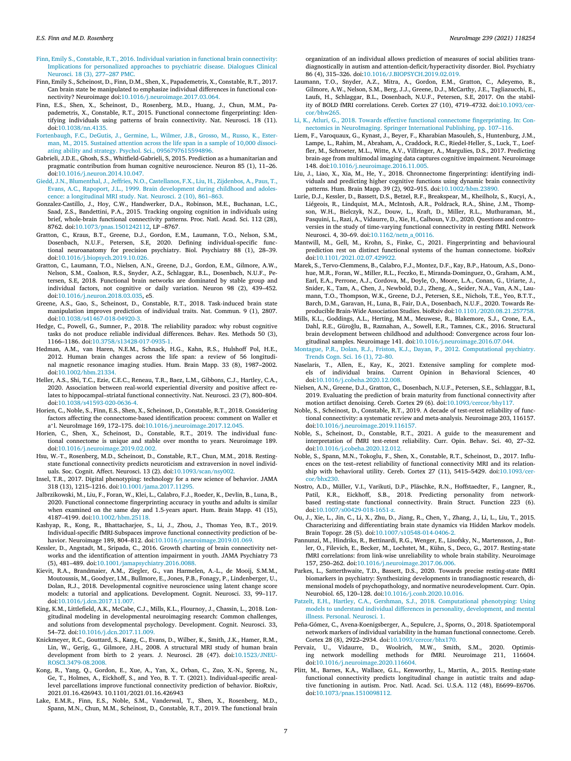- <span id="page-7-0"></span>Finn, [Emily](http://refhub.elsevier.com/S1053-8119(21)00531-0/sbref0032) S., [Constable,](http://refhub.elsevier.com/S1053-8119(21)00531-0/sbref0032) R.T., 2016. Individual variation in functional brain [connectivity:](http://refhub.elsevier.com/S1053-8119(21)00531-0/sbref0032) Implications for personalized approaches to psychiatric disease. Dialogues Clinical Neurosci. 18 (3), 277–287 PMC.
- Finn, Emily S., Scheinost, D., Finn, D.M., Shen, X., Papademetris, X., Constable, R.T., 2017. Can brain state be manipulated to emphasize individual differences in functional connectivity? Neuroimage doi[:10.1016/j.neuroimage.2017.03.064.](https://doi.org/10.1016/j.neuroimage.2017.03.064)
- Finn, E.S., Shen, X., Scheinost, D., Rosenberg, M.D., Huang, J., Chun, M.M., Papademetris, X., Constable, R.T., 2015. Functional connectome fingerprinting: Identifying individuals using patterns of brain connectivity. Nat. Neurosci. 18 (11). doi[:10.1038/nn.4135.](https://doi.org/10.1038/nn.4135)
- [Fortenbaugh,](http://refhub.elsevier.com/S1053-8119(21)00531-0/sbref0035) F.C., [DeGutis,](http://refhub.elsevier.com/S1053-8119(21)00531-0/sbref0035) J., [Germine,](http://refhub.elsevier.com/S1053-8119(21)00531-0/sbref0035) L., [Wilmer,](http://refhub.elsevier.com/S1053-8119(21)00531-0/sbref0035) J.B., [Grosso,](http://refhub.elsevier.com/S1053-8119(21)00531-0/sbref0035) M., [Russo,](http://refhub.elsevier.com/S1053-8119(21)00531-0/sbref0035) K., Esterman, M., 2015. Sustained attention across the life span in a sample of 10,000 dissociating ability and strategy. Psychol. Sci., [0956797615594896.](http://refhub.elsevier.com/S1053-8119(21)00531-0/sbref0035)
- Gabrieli, J.D.E., Ghosh, S.S., Whitfield-Gabrieli, S, 2015. Prediction as a humanitarian and pragmatic contribution from human cognitive neuroscience. Neuron 85 (1), 11–26. doi[:10.1016/j.neuron.2014.10.047.](https://doi.org/10.1016/j.neuron.2014.10.047)
- [Giedd,](http://refhub.elsevier.com/S1053-8119(21)00531-0/sbref0037) J.N., [Blumenthal,](http://refhub.elsevier.com/S1053-8119(21)00531-0/sbref0037) J., [Jeffries,](http://refhub.elsevier.com/S1053-8119(21)00531-0/sbref0037) N.O., [Castellanos,](http://refhub.elsevier.com/S1053-8119(21)00531-0/sbref0037) F.X., [Liu,](http://refhub.elsevier.com/S1053-8119(21)00531-0/sbref0037) H., [Zijdenbos,](http://refhub.elsevier.com/S1053-8119(21)00531-0/sbref0037) A., [Paus,](http://refhub.elsevier.com/S1053-8119(21)00531-0/sbref0037) T. [Evans,](http://refhub.elsevier.com/S1053-8119(21)00531-0/sbref0037) A.C., [Rapoport,](http://refhub.elsevier.com/S1053-8119(21)00531-0/sbref0037) J.L., 1999. Brain [development](http://refhub.elsevier.com/S1053-8119(21)00531-0/sbref0037) during childhood and adolescence: a longitudinal MRI study. Nat. Neurosci. 2 (10), 861–863.
- Gonzalez-Castillo, J., Hoy, C.W., Handwerker, D.A., Robinson, M.E., Buchanan, L.C., Saad, Z.S., Bandettini, P.A., 2015. Tracking ongoing cognition in individuals using brief, whole-brain functional connectivity patterns. Proc. Natl. Acad. Sci. 112 (28), 8762. doi[:10.1073/pnas.1501242112,](https://doi.org/10.1073/pnas.1501242112) LP –8767.
- Gratton, C., Kraus, B.T., Greene, D.J., Gordon, E.M., Laumann, T.O., Nelson, S.M., Dosenbach, N.U.F., Petersen, S.E, 2020. Defining individual-specific functional neuroanatomy for precision psychiatry. Biol. Psychiatry 88 (1), 28–39. doi[:10.1016/j.biopsych.2019.10.026.](https://doi.org/10.1016/j.biopsych.2019.10.026)
- Gratton, C., Laumann, T.O., Nielsen, A.N., Greene, D.J., Gordon, E.M., Gilmore, A.W., Nelson, S.M., Coalson, R.S., Snyder, A.Z., Schlaggar, B.L., Dosenbach, N.U.F., Petersen, S.E, 2018. Functional brain networks are dominated by stable group and individual factors, not cognitive or daily variation. Neuron 98 (2), 439–452. doi[:10.1016/j.neuron.2018.03.035,](https://doi.org/10.1016/j.neuron.2018.03.035) e5.
- Greene, A.S., Gao, S., Scheinost, D., Constable, R.T., 2018. Task-induced brain state manipulation improves prediction of individual traits. Nat. Commun. 9 (1), 2807. doi[:10.1038/s41467-018-04920-3.](https://doi.org/10.1038/s41467-018-04920-3)
- Hedge, C., Powell, G., Sumner, P., 2018. The reliability paradox: why robust cognitive tasks do not produce reliable individual differences. Behav. Res. Methods 50 (3), 1166–1186. doi[:10.3758/s13428-017-0935-1.](https://doi.org/10.3758/s13428-017-0935-1)
- Hedman, A.M., van Haren, N.E.M., Schnack, H.G., Kahn, R.S., Hulshoff Pol, H.E., 2012. Human brain changes across the life span: a review of 56 longitudinal magnetic resonance imaging studies. Hum. Brain Mapp. 33 (8), 1987–2002. doi[:10.1002/hbm.21334.](https://doi.org/10.1002/hbm.21334)
- Heller, A.S., Shi, T.C., Ezie, C.E.C., Reneau, T.R., Baez, L.M., Gibbons, C.J., Hartley, C.A., 2020. Association between real-world experiential diversity and positive affect relates to hippocampal–striatal functional connectivity. Nat. Neurosci. 23 (7), 800–804. doi[:10.1038/s41593-020-0636-4.](https://doi.org/10.1038/s41593-020-0636-4)
- Horien, C., Noble, S., Finn, E.S., Shen, X., Scheinost, D., Constable, R.T., 2018. Considering factors affecting the connectome-based identification process: comment on Waller et a<sup>∗</sup>l. NeuroImage 169, 172–175. doi[:10.1016/j.neuroimage.2017.12.045.](https://doi.org/10.1016/j.neuroimage.2017.12.045)
- Horien, C., Shen, X., Scheinost, D., Constable, R.T., 2019. The individual functional connectome is unique and stable over months to years. Neuroimage 189. doi[:10.1016/j.neuroimage.2019.02.002.](https://doi.org/10.1016/j.neuroimage.2019.02.002)
- Hsu, W.-T., Rosenberg, M.D., Scheinost, D., Constable, R.T., Chun, M.M., 2018. Restingstate functional connectivity predicts neuroticism and extraversion in novel individuals. Soc. Cognit. Affect. Neurosci. 13 (2). doi[:10.1093/scan/nsy002.](https://doi.org/10.1093/scan/nsy002)
- Insel, T.R., 2017. Digital phenotyping: technology for a new science of behavior. JAMA 318 (13), 1215–1216. doi[:10.1001/jama.2017.11295.](https://doi.org/10.1001/jama.2017.11295)
- Jalbrzikowski, M., Liu, F., Foran, W., Klei, L., Calabro, F.J., Roeder, K., Devlin, B., Luna, B., 2020. Functional connectome fingerprinting accuracy in youths and adults is similar when examined on the same day and 1.5-years apart. Hum. Brain Mapp. 41 (15), 4187–4199. doi[:10.1002/hbm.25118.](https://doi.org/10.1002/hbm.25118)
- Kashyap, R., Kong, R., Bhattacharjee, S., Li, J., Zhou, J., Thomas Yeo, B.T., 2019. Individual-specific fMRI-Subspaces improve functional connectivity prediction of behavior. Neuroimage 189, 804–812. doi[:10.1016/j.neuroimage.2019.01.069.](https://doi.org/10.1016/j.neuroimage.2019.01.069)
- Kessler, D., Angstadt, M., Sripada, C., 2016. Growth charting of brain connectivity networks and the identification of attention impairment in youth. JAMA Psychiatry 73 (5), 481–489. doi[:10.1001/jamapsychiatry.2016.0088.](https://doi.org/10.1001/jamapsychiatry.2016.0088)
- Kievit, R.A., Brandmaier, A.M., Ziegler, G., van Harmelen, A.-L., de Mooij, S.M.M., Moutoussis, M., Goodyer, I.M., Bullmore, E., Jones, P.B., Fonagy, P., Lindenberger, U., Dolan, R.J., 2018. Developmental cognitive neuroscience using latent change score models: a tutorial and applications. Development. Cognit. Neurosci. 33, 99–117. doi[:10.1016/j.dcn.2017.11.007.](https://doi.org/10.1016/j.dcn.2017.11.007)
- King, K.M., Littlefield, A.K., McCabe, C.J., Mills, K.L., Flournoy, J., Chassin, L., 2018. Longitudinal modeling in developmental neuroimaging research: Common challenges, and solutions from developmental psychology. Development. Cognit. Neurosci. 33, 54–72. doi[:10.1016/j.dcn.2017.11.009.](https://doi.org/10.1016/j.dcn.2017.11.009)
- Knickmeyer, R.C., Gouttard, S., Kang, C., Evans, D., Wilber, K., Smith, J.K., Hamer, R.M., Lin, W., Gerig, G., Gilmore, J.H., 2008. A structural MRI study of human brain development from birth to 2 years. J. Neurosci. 28 (47). doi:10.1523/JNEU-[ROSCI.3479-08.2008.](https://doi.org/10.1523/JNEUROSCI.3479-08.2008)
- Kong, R., Yang, Q., Gordon, E., Xue, A., Yan, X., Orban, C., Zuo, X.-N., Spreng, N., Ge, T., Holmes, A., Eickhoff, S., and Yeo, B. T. T. (2021). Individual-specific areallevel parcellations improve functional connectivity prediction of behavior. BioRxiv, 2021.01.16.426943. 10.1101/2021.01.16.426943
- Lake, E.M.R., Finn, E.S., Noble, S.M., Vanderwal, T., Shen, X., Rosenberg, M.D., Spann, M.N., Chun, M.M., Scheinost, D., Constable, R.T., 2019. The functional brain

organization of an individual allows prediction of measures of social abilities transdiagnostically in autism and attention-deficit/hyperactivity disorder. Biol. Psychiatry 86 (4), 315–326. doi[:10.1016/J.BIOPSYCH.2019.02.019.](https://doi.org/10.1016/J.BIOPSYCH.2019.02.019)

- Laumann, T.O., Snyder, A.Z., Mitra, A., Gordon, E.M., Gratton, C., Adeyemo, B., Gilmore, A.W., Nelson, S.M., Berg, J.J., Greene, D.J., McCarthy, J.E., Tagliazucchi, E., Laufs, H., Schlaggar, B.L., Dosenbach, N.U.F., Petersen, S.E, 2017. On the stability of BOLD fMRI correlations. Cereb. Cortex 27 (10), 4719–4732. [doi:10.1093/cer](https://doi.org/10.1093/cercor/bhw265)cor/bhw265.
- [Li,](http://refhub.elsevier.com/S1053-8119(21)00531-0/sbref0058) K., [Atluri,](http://refhub.elsevier.com/S1053-8119(21)00531-0/sbref0058) G., 2018. Towards effective functional connectome fingerprinting. In: Connectomics in [NeuroImaging.](http://refhub.elsevier.com/S1053-8119(21)00531-0/sbref0058) Springer International Publishing, pp. 107–116.
- Liem, F., Varoquaux, G., Kynast, J., Beyer, F., Kharabian Masouleh, S., Huntenburg, J.M., Lampe, L., Rahim, M., Abraham, A., Craddock, R.C., Riedel-Heller, S., Luck, T., Loeffler, M., Schroeter, M.L., Witte, A.V., Villringer, A., Margulies, D.S., 2017. Predicting brain-age from multimodal imaging data captures cognitive impairment. Neuroimage 148. doi[:10.1016/j.neuroimage.2016.11.005.](https://doi.org/10.1016/j.neuroimage.2016.11.005)
- Liu, J., Liao, X., Xia, M., He, Y., 2018. Chronnectome fingerprinting: identifying individuals and predicting higher cognitive functions using dynamic brain connectivity patterns. Hum. Brain Mapp. 39 (2), 902–915. doi[:10.1002/hbm.23890.](https://doi.org/10.1002/hbm.23890)
- Lurie, D.J., Kessler, D., Bassett, D.S., Betzel, R.F., Breakspear, M., Kheilholz, S., Kucyi, A., Liégeois, R., Lindquist, M.A., McIntosh, A.R., Poldrack, R.A., Shine, J.M., Thompson, W.H., Bielczyk, N.Z., Douw, L., Kraft, D., Miller, R.L., Muthuraman, M., Pasquini, L., Razi, A., Vidaurre, D., Xie, H., Calhoun, V.D., 2020. Questions and controversies in the study of time-varying functional connectivity in resting fMRI. Network Neurosci. 4, 30–69. doi[:10.1162/netn\\_a\\_00116.](https://doi.org/10.1162/netn_a_00116)
- Mantwill, M., Gell, M., Krohn, S., Finke, C., 2021. Fingerprinting and behavioural prediction rest on distinct functional systems of the human connectome. bioRxiv doi[:10.1101/2021.02.07.429922.](https://doi.org/10.1101/2021.02.07.429922)
- Marek, S., Tervo-Clemmens, B., Calabro, F.J., Montez, D.F., Kay, B.P., Hatoum, A.S., Donohue, M.R., Foran, W., Miller, R.L., Feczko, E., Miranda-Dominguez, O., Graham, A.M., Earl, E.A., Perrone, A.J., Cordova, M., Doyle, O., Moore, L.A., Conan, G., Uriarte, J., Snider, K., Tam, A., Chen, J., Newbold, D.J., Zheng, A., Seider, N.A., Van, A.N., Laumann, T.O., Thompson, W.K., Greene, D.J., Petersen, S.E., Nichols, T.E., Yeo, B.T.T., Barch, D.M., Garavan, H., Luna, B., Fair, D.A., Dosenbach, N.U.F., 2020. Towards Reproducible Brain-Wide Association Studies. bioRxiv doi[:10.1101/2020.08.21.257758.](https://doi.org/10.1101/2020.08.21.257758)
- Mills, K.L., Goddings, A.L., Herting, M.M., Meuwese, R., Blakemore, S.J., Crone, E.A., Dahl, R.E., Güroğlu, B., Raznahan, A., Sowell, E.R., Tamnes, C.K., 2016. Structural brain development between childhood and adulthood: Convergence across four longitudinal samples. Neuroimage 141. doi[:10.1016/j.neuroimage.2016.07.044.](https://doi.org/10.1016/j.neuroimage.2016.07.044)
- [Montague,](http://refhub.elsevier.com/S1053-8119(21)00531-0/sbref0065) P.R., [Dolan,](http://refhub.elsevier.com/S1053-8119(21)00531-0/sbref0065) R.J., [Friston,](http://refhub.elsevier.com/S1053-8119(21)00531-0/sbref0065) K.J., [Dayan,](http://refhub.elsevier.com/S1053-8119(21)00531-0/sbref0065) P., 2012. [Computational](http://refhub.elsevier.com/S1053-8119(21)00531-0/sbref0065) psychiatry. Trends Cogn. Sci. 16 (1), 72–80.
- Naselaris, T., Allen, E., Kay, K., 2021. Extensive sampling for complete models of individual brains. Current Opinion in Behavioral Sciences, 40 doi[:10.1016/j.cobeha.2020.12.008.](https://doi.org/10.1016/j.cobeha.2020.12.008)
- Nielsen, A.N., Greene, D.J., Gratton, C., Dosenbach, N.U.F., Petersen, S.E., Schlaggar, B.L, 2019. Evaluating the prediction of brain maturity from functional connectivity after motion artifact denoising. Cereb. Cortex 29 (6). doi[:10.1093/cercor/bhy117.](https://doi.org/10.1093/cercor/bhy117)
- Noble, S., Scheinost, D., Constable, R.T., 2019. A decade of test-retest reliability of functional connectivity: a systematic review and meta-analysis. Neuroimage 203, 116157. doi[:10.1016/j.neuroimage.2019.116157.](https://doi.org/10.1016/j.neuroimage.2019.116157)
- Noble, S., Scheinost, D., Constable, R.T., 2021. A guide to the measurement and interpretation of fMRI test-retest reliability. Curr. Opin. Behav. Sci. 40, 27–32. doi[:10.1016/j.cobeha.2020.12.012.](https://doi.org/10.1016/j.cobeha.2020.12.012)
- Noble, S., Spann, M.N., Tokoglu, F., Shen, X., Constable, R.T., Scheinost, D., 2017. Influences on the test–retest reliability of functional connectivity MRI and its relationship with behavioral utility. Cereb. Cortex 27 (11), 5415–5429. [doi:10.1093/cer](https://doi.org/10.1093/cercor/bhx230)cor/bhx230.
- Nostro, A.D., Müller, V.I., Varikuti, D.P., Pläschke, R.N., Hoffstaedter, F., Langner, R., Patil, K.R., Eickhoff, S.B., 2018. Predicting personality from networkbased resting-state functional connectivity. Brain Struct. Function 223 (6). doi[:10.1007/s00429-018-1651-z.](https://doi.org/10.1007/s00429-018-1651-z)
- Ou, J., Xie, L., Jin, C., Li, X., Zhu, D., Jiang, R., Chen, Y., Zhang, J., Li, L., Liu, T., 2015. Characterizing and differentiating brain state dynamics via Hidden Markov models. Brain Topogr. 28 (5). doi[:10.1007/s10548-014-0406-2.](https://doi.org/10.1007/s10548-014-0406-2)
- Pannunzi, M., Hindriks, R., Bettinardi, R.G., Wenger, E., Lisofsky, N., Martensson, J., Butler, O., Filevich, E., Becker, M., Lochstet, M., Kühn, S., Deco, G., 2017. Resting-state fMRI correlations: from link-wise unreliability to whole brain stability. Neuroimage 157, 250–262. doi[:10.1016/j.neuroimage.2017.06.006.](https://doi.org/10.1016/j.neuroimage.2017.06.006)
- Parkes, L., Satterthwaite, T.D., Bassett, D.S., 2020. Towards precise resting-state fMRI biomarkers in psychiatry: Synthesizing developments in transdiagnostic research, dimensional models of psychopathology, and normative neurodevelopment. Curr. Opin. Neurobiol. 65, 120–128. doi[:10.1016/j.conb.2020.10.016.](https://doi.org/10.1016/j.conb.2020.10.016)
- [Patzelt,](http://refhub.elsevier.com/S1053-8119(21)00531-0/sbref0075) E.H., [Hartley,](http://refhub.elsevier.com/S1053-8119(21)00531-0/sbref0075) C.A., [Gershman,](http://refhub.elsevier.com/S1053-8119(21)00531-0/sbref0075) S.J., 2018. [Computational](http://refhub.elsevier.com/S1053-8119(21)00531-0/sbref0075) phenotyping: Using models to understand individual differences in personality, development, and mental illness. Personal. Neurosci. 1.
- Peña-Gómez, C., Avena-Koenigsberger, A., Sepulcre, J., Sporns, O., 2018. Spatiotemporal network markers of individual variability in the human functional connectome. Cereb. Cortex 28 (8), 2922–2934. doi[:10.1093/cercor/bhx170.](https://doi.org/10.1093/cercor/bhx170)
- Pervaiz, U., Vidaurre, D., Woolrich, M.W., Smith, S.M., 2020. Optimis-ing network modelling methods for fMRI. Neuroimage 211, 116604. doi[:10.1016/j.neuroimage.2020.116604.](https://doi.org/10.1016/j.neuroimage.2020.116604)
- Plitt, M., Barnes, K.A., Wallace, G.L., Kenworthy, L., Martin, A., 2015. Resting-state functional connectivity predicts longitudinal change in autistic traits and adaptive functioning in autism. Proc. Natl. Acad. Sci. U.S.A. 112 (48), E6699–E6706. doi[:10.1073/pnas.1510098112.](https://doi.org/10.1073/pnas.1510098112)